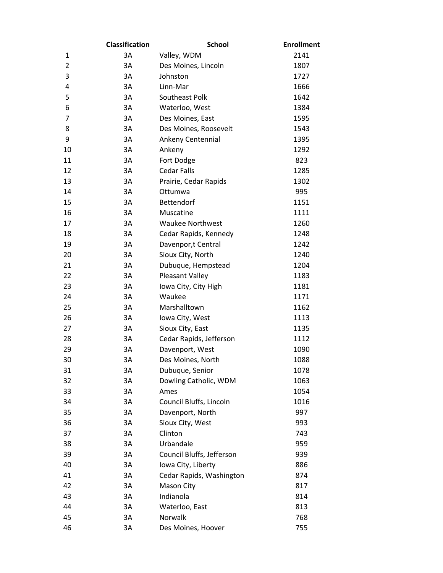|                | <b>Classification</b> | <b>School</b>             | <b>Enrollment</b> |
|----------------|-----------------------|---------------------------|-------------------|
| 1              | 3A                    | Valley, WDM               | 2141              |
| $\overline{2}$ | 3A                    | Des Moines, Lincoln       | 1807              |
| 3              | 3A                    | Johnston                  | 1727              |
| 4              | 3A                    | Linn-Mar                  | 1666              |
| 5              | 3A                    | Southeast Polk            | 1642              |
| 6              | 3A                    | Waterloo, West            | 1384              |
| 7              | 3A                    | Des Moines, East          | 1595              |
| 8              | 3A                    | Des Moines, Roosevelt     | 1543              |
| 9              | 3A                    | Ankeny Centennial         | 1395              |
| 10             | 3A                    | Ankeny                    | 1292              |
| 11             | 3A                    | Fort Dodge                | 823               |
| 12             | 3A                    | <b>Cedar Falls</b>        | 1285              |
| 13             | 3A                    | Prairie, Cedar Rapids     | 1302              |
| 14             | 3A                    | Ottumwa                   | 995               |
| 15             | 3A                    | <b>Bettendorf</b>         | 1151              |
| 16             | 3A                    | Muscatine                 | 1111              |
| 17             | 3A                    | <b>Waukee Northwest</b>   | 1260              |
| 18             | 3A                    | Cedar Rapids, Kennedy     | 1248              |
| 19             | 3A                    | Davenpor,t Central        | 1242              |
| 20             | 3A                    | Sioux City, North         | 1240              |
| 21             | 3A                    | Dubuque, Hempstead        | 1204              |
| 22             | 3A                    | Pleasant Valley           | 1183              |
| 23             | 3A                    | Iowa City, City High      | 1181              |
| 24             | 3A                    | Waukee                    | 1171              |
| 25             | 3A                    | Marshalltown              | 1162              |
| 26             | 3A                    | Iowa City, West           | 1113              |
| 27             | 3A                    | Sioux City, East          | 1135              |
| 28             | 3A                    | Cedar Rapids, Jefferson   | 1112              |
| 29             | 3A                    | Davenport, West           | 1090              |
| 30             | 3A                    | Des Moines, North         | 1088              |
| 31             | 3A                    | Dubuque, Senior           | 1078              |
| 32             | 3A                    | Dowling Catholic, WDM     | 1063              |
| 33             | 3A                    | Ames                      | 1054              |
| 34             | 3A                    | Council Bluffs, Lincoln   | 1016              |
| 35             | 3A                    | Davenport, North          | 997               |
| 36             | 3A                    | Sioux City, West          | 993               |
| 37             | 3A                    | Clinton                   | 743               |
| 38             | 3A                    | Urbandale                 | 959               |
| 39             | 3A                    | Council Bluffs, Jefferson | 939               |
| 40             | 3A                    | Iowa City, Liberty        | 886               |
| 41             | 3A                    | Cedar Rapids, Washington  | 874               |
| 42             | 3A                    | Mason City                | 817               |
| 43             | 3A                    | Indianola                 | 814               |
| 44             | 3A                    | Waterloo, East            | 813               |
| 45             | 3A                    | Norwalk                   | 768               |
| 46             | 3A                    | Des Moines, Hoover        | 755               |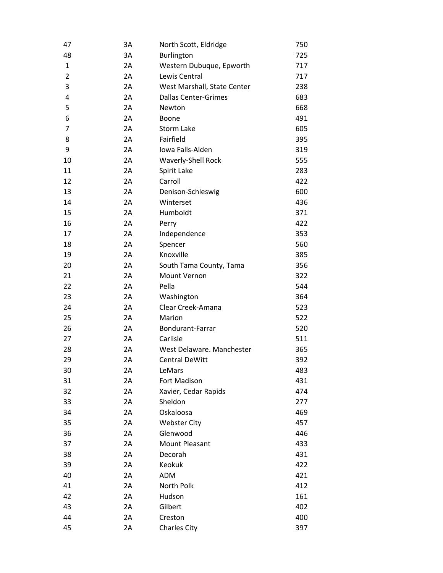| 47             | 3A | North Scott, Eldridge       | 750 |
|----------------|----|-----------------------------|-----|
| 48             | 3A | Burlington                  | 725 |
| $\mathbf{1}$   | 2A | Western Dubuque, Epworth    | 717 |
| $\overline{2}$ | 2A | Lewis Central               | 717 |
| 3              | 2A | West Marshall, State Center | 238 |
| 4              | 2A | <b>Dallas Center-Grimes</b> | 683 |
| 5              | 2A | Newton                      | 668 |
| 6              | 2A | <b>Boone</b>                | 491 |
| $\overline{7}$ | 2A | <b>Storm Lake</b>           | 605 |
| 8              | 2A | Fairfield                   | 395 |
| 9              | 2A | Iowa Falls-Alden            | 319 |
| 10             | 2A | Waverly-Shell Rock          | 555 |
| 11             | 2A | Spirit Lake                 | 283 |
| 12             | 2A | Carroll                     | 422 |
| 13             | 2A | Denison-Schleswig           | 600 |
| 14             | 2A | Winterset                   | 436 |
| 15             | 2A | Humboldt                    | 371 |
| 16             | 2A | Perry                       | 422 |
| 17             | 2A | Independence                | 353 |
| 18             | 2A | Spencer                     | 560 |
| 19             | 2A | Knoxville                   | 385 |
| 20             | 2A | South Tama County, Tama     | 356 |
| 21             | 2A | Mount Vernon                | 322 |
| 22             | 2A | Pella                       | 544 |
| 23             | 2A | Washington                  | 364 |
| 24             | 2A | Clear Creek-Amana           | 523 |
| 25             | 2A | Marion                      | 522 |
| 26             | 2A | Bondurant-Farrar            | 520 |
| 27             | 2A | Carlisle                    | 511 |
| 28             | 2A | West Delaware. Manchester   | 365 |
| 29             | 2A | <b>Central DeWitt</b>       | 392 |
| 30             | 2Α | LeMars                      | 483 |
| 31             | 2A | Fort Madison                | 431 |
| 32             | 2A | Xavier, Cedar Rapids        | 474 |
| 33             | 2A | Sheldon                     | 277 |
| 34             | 2A | Oskaloosa                   | 469 |
| 35             | 2A | <b>Webster City</b>         | 457 |
| 36             | 2A | Glenwood                    | 446 |
| 37             | 2A | <b>Mount Pleasant</b>       | 433 |
| 38             | 2A | Decorah                     | 431 |
| 39             | 2A | Keokuk                      | 422 |
| 40             | 2A | ADM                         | 421 |
| 41             | 2A | North Polk                  | 412 |
| 42             | 2A | Hudson                      | 161 |
| 43             | 2A | Gilbert                     | 402 |
| 44             | 2A | Creston                     | 400 |
| 45             | 2A | <b>Charles City</b>         | 397 |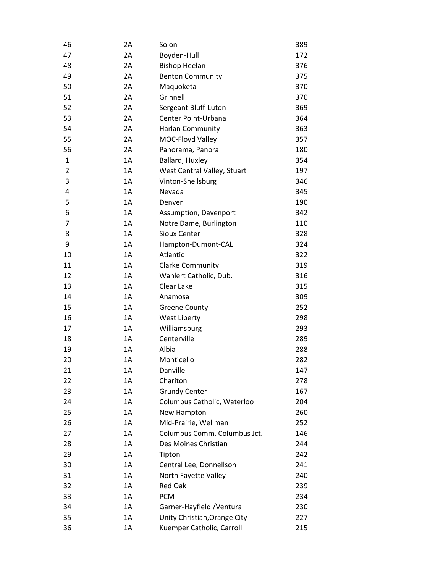| 46             | 2A | Solon                        | 389 |
|----------------|----|------------------------------|-----|
| 47             | 2A | Boyden-Hull                  | 172 |
| 48             | 2A | <b>Bishop Heelan</b>         | 376 |
| 49             | 2A | <b>Benton Community</b>      | 375 |
| 50             | 2A | Maquoketa                    | 370 |
| 51             | 2A | Grinnell                     | 370 |
| 52             | 2A | Sergeant Bluff-Luton         | 369 |
| 53             | 2A | Center Point-Urbana          | 364 |
| 54             | 2A | Harlan Community             | 363 |
| 55             | 2A | MOC-Floyd Valley             | 357 |
| 56             | 2A | Panorama, Panora             | 180 |
| $\mathbf{1}$   | 1A | Ballard, Huxley              | 354 |
| $\overline{2}$ | 1A | West Central Valley, Stuart  | 197 |
| 3              | 1A | Vinton-Shellsburg            | 346 |
| 4              | 1A | Nevada                       | 345 |
| 5              | 1A | Denver                       | 190 |
| 6              | 1A | Assumption, Davenport        | 342 |
| 7              | 1A | Notre Dame, Burlington       | 110 |
| 8              | 1A | Sioux Center                 | 328 |
| 9              | 1A | Hampton-Dumont-CAL           | 324 |
| 10             | 1A | Atlantic                     | 322 |
| 11             | 1A | <b>Clarke Community</b>      | 319 |
| 12             | 1A | Wahlert Catholic, Dub.       | 316 |
| 13             | 1A | Clear Lake                   | 315 |
| 14             | 1A | Anamosa                      | 309 |
| 15             | 1A | <b>Greene County</b>         | 252 |
| 16             | 1A | West Liberty                 | 298 |
| 17             | 1A | Williamsburg                 | 293 |
| 18             | 1A | Centerville                  | 289 |
| 19             | 1A | Albia                        | 288 |
| 20             | 1A | Monticello                   | 282 |
| 21             | 1Α | Danville                     | 147 |
| 22             | 1A | Chariton                     | 278 |
| 23             | 1A | <b>Grundy Center</b>         | 167 |
| 24             | 1A | Columbus Catholic, Waterloo  | 204 |
| 25             | 1A | New Hampton                  | 260 |
| 26             | 1A | Mid-Prairie, Wellman         | 252 |
| 27             | 1A | Columbus Comm. Columbus Jct. | 146 |
| 28             | 1A | Des Moines Christian         | 244 |
| 29             | 1A | Tipton                       | 242 |
| 30             | 1A | Central Lee, Donnellson      | 241 |
| 31             | 1A | North Fayette Valley         | 240 |
| 32             | 1A | <b>Red Oak</b>               | 239 |
| 33             | 1A | <b>PCM</b>                   | 234 |
| 34             | 1A | Garner-Hayfield / Ventura    | 230 |
| 35             | 1A | Unity Christian, Orange City | 227 |
| 36             | 1A | Kuemper Catholic, Carroll    | 215 |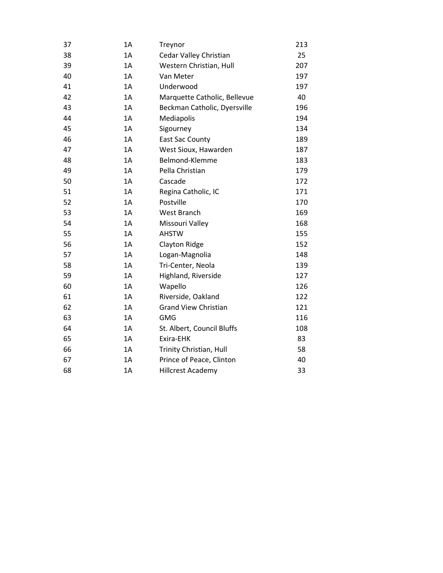| 37 | 1A | Treynor                      | 213 |
|----|----|------------------------------|-----|
| 38 | 1A | Cedar Valley Christian       | 25  |
| 39 | 1A | Western Christian, Hull      | 207 |
| 40 | 1A | Van Meter                    | 197 |
| 41 | 1A | Underwood                    | 197 |
| 42 | 1A | Marquette Catholic, Bellevue | 40  |
| 43 | 1A | Beckman Catholic, Dyersville | 196 |
| 44 | 1A | Mediapolis                   | 194 |
| 45 | 1A | Sigourney                    | 134 |
| 46 | 1A | <b>East Sac County</b>       | 189 |
| 47 | 1A | West Sioux, Hawarden         | 187 |
| 48 | 1A | Belmond-Klemme               | 183 |
| 49 | 1A | Pella Christian              | 179 |
| 50 | 1A | Cascade                      | 172 |
| 51 | 1A | Regina Catholic, IC          | 171 |
| 52 | 1A | Postville                    | 170 |
| 53 | 1A | West Branch                  | 169 |
| 54 | 1A | Missouri Valley              | 168 |
| 55 | 1A | <b>AHSTW</b>                 | 155 |
| 56 | 1A | Clayton Ridge                | 152 |
| 57 | 1A | Logan-Magnolia               | 148 |
| 58 | 1A | Tri-Center, Neola            | 139 |
| 59 | 1A | Highland, Riverside          | 127 |
| 60 | 1A | Wapello                      | 126 |
| 61 | 1A | Riverside, Oakland           | 122 |
| 62 | 1A | <b>Grand View Christian</b>  | 121 |
| 63 | 1A | GMG                          | 116 |
| 64 | 1A | St. Albert, Council Bluffs   | 108 |
| 65 | 1A | Exira-EHK                    | 83  |
| 66 | 1A | Trinity Christian, Hull      | 58  |
| 67 | 1A | Prince of Peace, Clinton     | 40  |
| 68 | 1A | <b>Hillcrest Academy</b>     | 33  |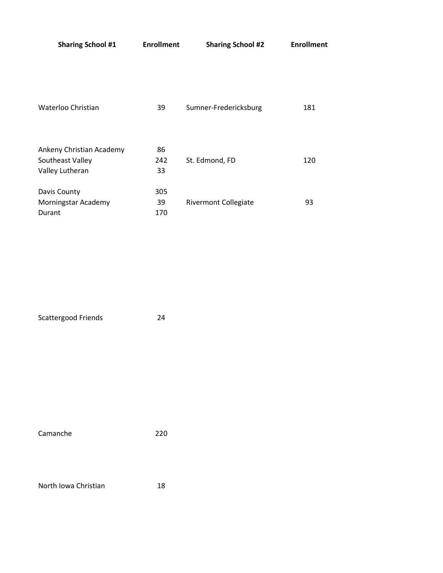| <b>Sharing School #1</b>                                        | <b>Enrollment</b> | <b>Sharing School #2</b>    | <b>Enrollment</b> |
|-----------------------------------------------------------------|-------------------|-----------------------------|-------------------|
| Waterloo Christian                                              | 39                | Sumner-Fredericksburg       | 181               |
| Ankeny Christian Academy<br>Southeast Valley<br>Valley Lutheran | 86<br>242<br>33   | St. Edmond, FD              | 120               |
| Davis County<br>Morningstar Academy<br>Durant                   | 305<br>39<br>170  | <b>Rivermont Collegiate</b> | 93                |

Scattergood Friends 24

Camanche 220

North Iowa Christian 18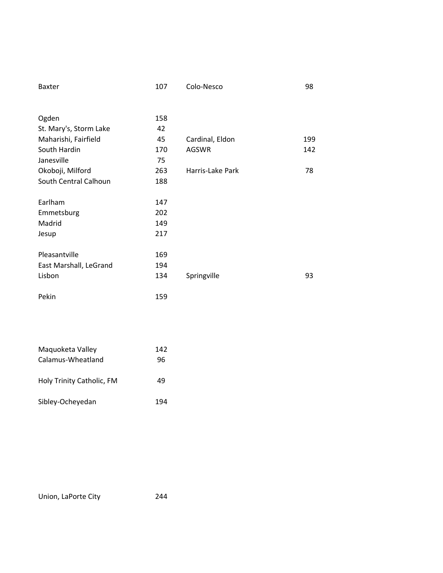| <b>Baxter</b>          | 107 | Colo-Nesco       | 98  |
|------------------------|-----|------------------|-----|
|                        |     |                  |     |
| Ogden                  | 158 |                  |     |
| St. Mary's, Storm Lake | 42  |                  |     |
| Maharishi, Fairfield   | 45  | Cardinal, Eldon  | 199 |
| South Hardin           | 170 | <b>AGSWR</b>     | 142 |
| Janesville             | 75  |                  |     |
| Okoboji, Milford       | 263 | Harris-Lake Park | 78  |
| South Central Calhoun  | 188 |                  |     |
|                        |     |                  |     |
| Earlham                | 147 |                  |     |
| Emmetsburg             | 202 |                  |     |
| Madrid                 | 149 |                  |     |
| Jesup                  | 217 |                  |     |
|                        |     |                  |     |
| Pleasantville          | 169 |                  |     |
| East Marshall, LeGrand | 194 |                  |     |
| Lisbon                 | 134 | Springville      | 93  |
|                        |     |                  |     |
| Pekin                  | 159 |                  |     |
|                        |     |                  |     |

| Maguoketa Valley          | 142 |
|---------------------------|-----|
| Calamus-Wheatland         | 96  |
|                           |     |
| Holy Trinity Catholic, FM | 49  |
| Sibley-Ocheyedan          | 194 |
|                           |     |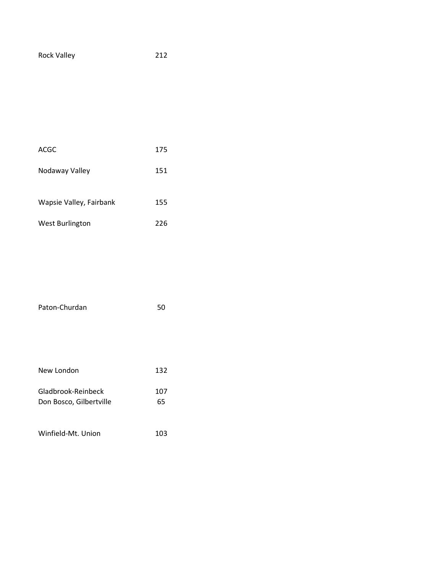| <b>Rock Valley</b> | 212 |
|--------------------|-----|
|--------------------|-----|

| ACGC                    | 175 |
|-------------------------|-----|
| Nodaway Valley          | 151 |
| Wapsie Valley, Fairbank | 155 |
| <b>West Burlington</b>  | 226 |

| Paton-Churdan           | 50  |
|-------------------------|-----|
|                         |     |
|                         |     |
|                         |     |
| New London              | 132 |
| Gladbrook-Reinbeck      | 107 |
| Don Bosco, Gilbertville | 65  |
|                         |     |
| Winfield-Mt. Union      | 103 |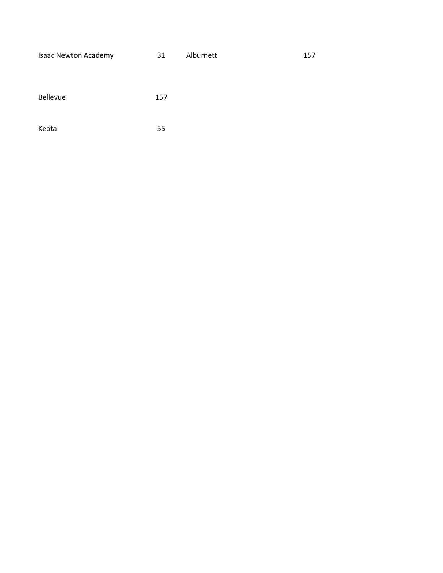| <b>Isaac Newton Academy</b> | 31  | Alburnett | 157 |
|-----------------------------|-----|-----------|-----|
|                             |     |           |     |
| <b>Bellevue</b>             | 157 |           |     |
| Keota                       | 55  |           |     |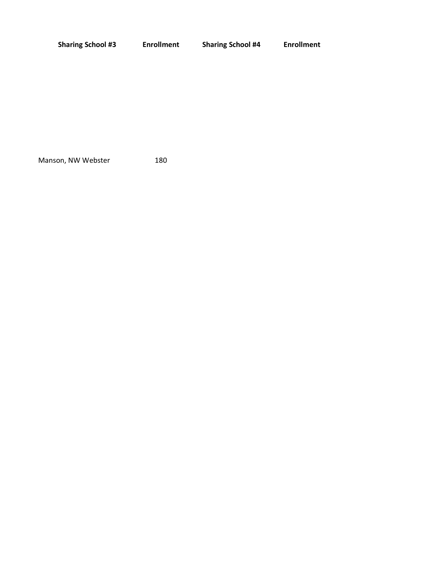| <b>Sharing School #3</b> | <b>Enrollment</b> | <b>Sharing School #4</b> | <b>Enrollment</b> |
|--------------------------|-------------------|--------------------------|-------------------|
|                          |                   |                          |                   |
|                          |                   |                          |                   |
|                          |                   |                          |                   |
|                          |                   |                          |                   |

Manson, NW Webster 180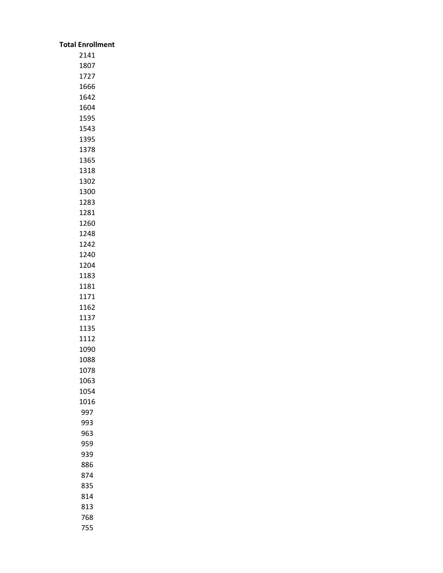| <b>Total Enrollment</b> |
|-------------------------|
| 2141                    |
| 1807                    |
| 1727                    |
| 1666                    |
| 1642                    |
| 1604                    |
| 1595                    |
| 1543                    |
| 1395                    |
| 1378                    |
| 1365                    |
| 1318                    |
| 1302<br>1300            |
| 1283                    |
| 1281                    |
| 1260                    |
| 1248                    |
| 1242                    |
| 1240                    |
| 1204                    |
| 1183                    |
| 1181                    |
| 1171                    |
| 1162                    |
| 1137                    |
| 1135                    |
| 1112                    |
| 1090                    |
| 1088                    |
| 1078                    |
| 1063                    |
| 1054                    |
| 1016                    |
| 997                     |
| 993                     |
| 963                     |
| 959                     |
| 939                     |
| 886                     |
| 874                     |
| 835                     |
| 814                     |
| 813<br>768              |
| 755                     |
|                         |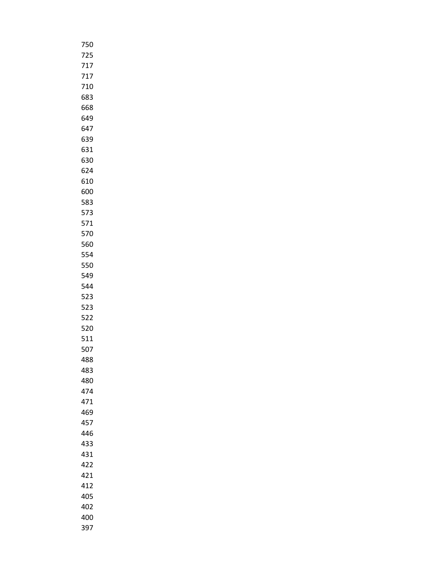| 750 |
|-----|
| 725 |
| 717 |
| 717 |
| 710 |
| 683 |
| 668 |
| 649 |
| 647 |
| 639 |
| 631 |
| 630 |
| 624 |
| 610 |
| 600 |
| 583 |
| 573 |
| 571 |
| 570 |
| 560 |
| 554 |
| 550 |
| 549 |
| 544 |
| 523 |
| 523 |
| 522 |
| 520 |
| 511 |
| 507 |
| 488 |
| 483 |
| 480 |
| 474 |
| 471 |
| 469 |
| 457 |
| 446 |
| 433 |
| 431 |
| 422 |
| 421 |
| 412 |
| 405 |
| 402 |
| 400 |
| 397 |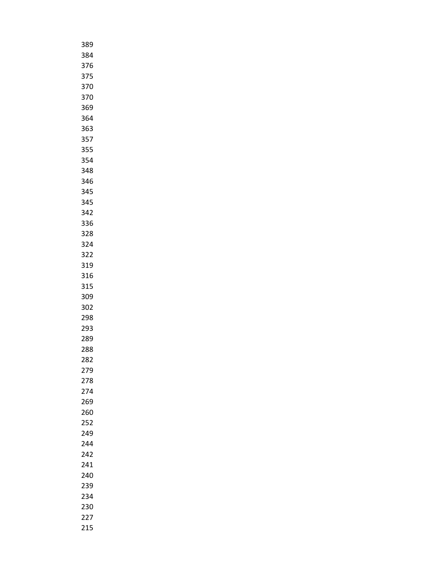| 389 |  |
|-----|--|
| 384 |  |
| 376 |  |
| 375 |  |
| 370 |  |
| 370 |  |
| 369 |  |
| 364 |  |
| 363 |  |
| 357 |  |
| 355 |  |
| 354 |  |
| 348 |  |
| 346 |  |
| 345 |  |
| 345 |  |
| 342 |  |
| 336 |  |
| 328 |  |
| 324 |  |
| 322 |  |
| 319 |  |
| 316 |  |
| 315 |  |
| 309 |  |
| 302 |  |
| 298 |  |
| 293 |  |
| 289 |  |
| 288 |  |
| 282 |  |
| 279 |  |
| 278 |  |
| 274 |  |
| 269 |  |
| 260 |  |
| 252 |  |
| 249 |  |
| 244 |  |
|     |  |
| 242 |  |
| 241 |  |
| 240 |  |
| 239 |  |
| 234 |  |
| 230 |  |
| 227 |  |
| 215 |  |